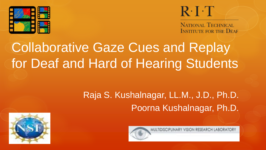

## $R \cdot I \cdot T$

MULTIDISCIPLINARY VISION RESEARCH LABORATORY

**NATIONAL TECHNICAL INSTITUTE FOR THE DEAF** 

# Collaborative Gaze Cues and Replay for Deaf and Hard of Hearing Students

### Raja S. Kushalnagar, LL.M., J.D., Ph.D. Poorna Kushalnagar, Ph.D.

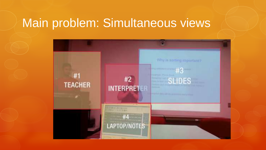### Main problem: Simultaneous views

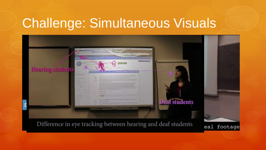## Challenge: Simultaneous Visuals



Difference in eye tracking between hearing and deaf students

eal footage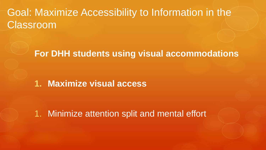### Goal: Maximize Accessibility to Information in the Classroom

#### **For DHH students using visual accommodations**

#### **1. Maximize visual access**

1. Minimize attention split and mental effort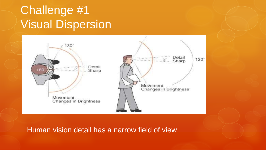### Challenge #1 Visual Dispersion



Human vision detail has a narrow field of view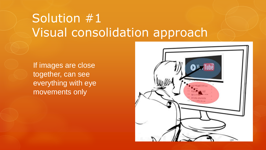## Solution #1 Visual consolidation approach

If images are close together, can see everything with eye movements only

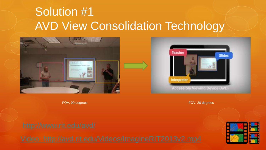### Solution #1 AVD View Consolidation Technology





FOV: 90 degrees FOV: 20 degrees

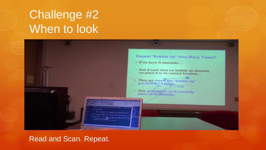## Challenge #2 When to look



#### Read and Scan. Repeat.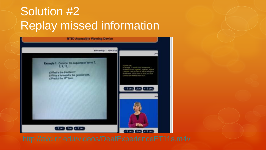## Solution #2 Replay missed information

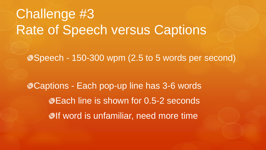# Challenge #3 Rate of Speech versus Captions

Speech - 150-300 wpm (2.5 to 5 words per second)

Captions - Each pop-up line has 3-6 words **Each line is shown for 0.5-2 seconds Olf word is unfamiliar, need more time**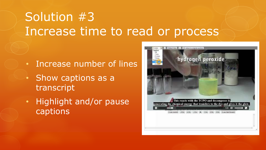## Solution #3 Increase time to read or process

- Increase number of lines
- Show captions as a transcript
- Highlight and/or pause captions

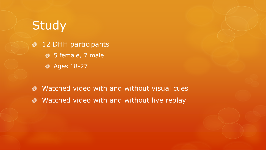### **Study**

12 DHH participants  $\circledcirc$ **3** 5 female, 7 male **8** Ages 18-27

Watched video with and without visual cues  $\bullet$ • Watched video with and without live replay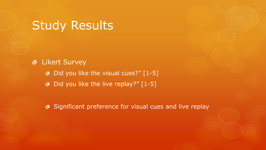### Study Results

**<sup>o</sup>** Likert Survey  $\bullet$  Did you like the visual cues?"  $[1-5]$ • Did you like the live replay?" [1-5]

**Significant preference for visual cues and live replay**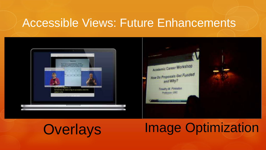### Accessible Views: Future Enhancements







# Overlays Image Optimization